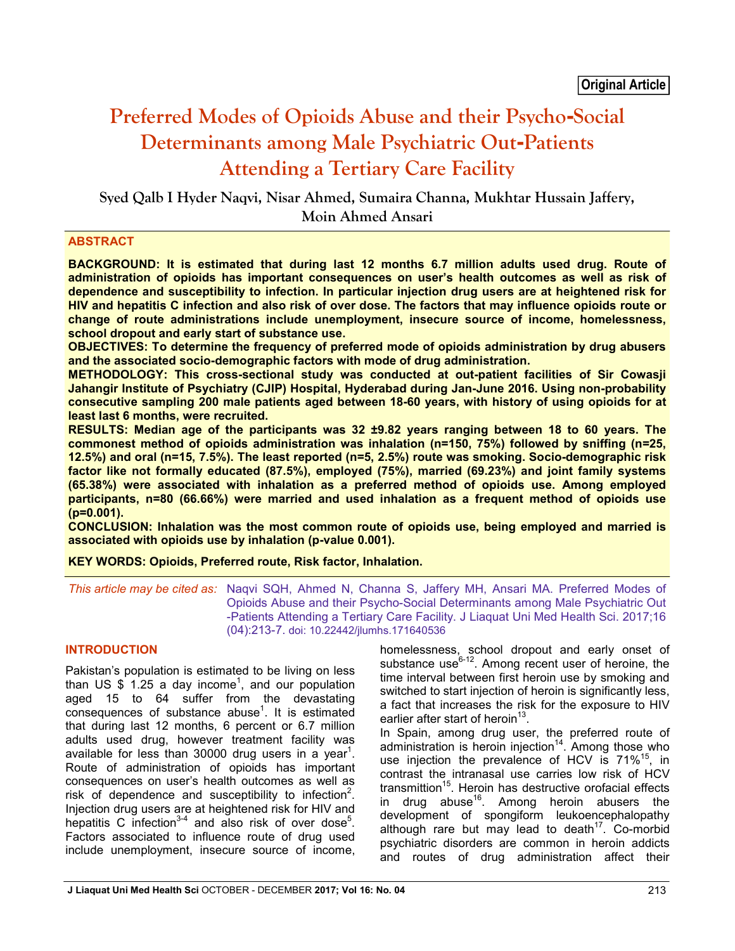# **Preferred Modes of Opioids Abuse and their Psycho-Social Determinants among Male Psychiatric Out-Patients Attending a Tertiary Care Facility**

**Syed Qalb I Hyder Naqvi, Nisar Ahmed, Sumaira Channa, Mukhtar Hussain Jaffery, Moin Ahmed Ansari**

# **ABSTRACT**

**BACKGROUND: It is estimated that during last 12 months 6.7 million adults used drug. Route of administration of opioids has important consequences on user's health outcomes as well as risk of dependence and susceptibility to infection. In particular injection drug users are at heightened risk for HIV and hepatitis C infection and also risk of over dose. The factors that may influence opioids route or change of route administrations include unemployment, insecure source of income, homelessness, school dropout and early start of substance use.**

**OBJECTIVES: To determine the frequency of preferred mode of opioids administration by drug abusers and the associated socio-demographic factors with mode of drug administration.**

**METHODOLOGY: This cross-sectional study was conducted at out-patient facilities of Sir Cowasji Jahangir Institute of Psychiatry (CJIP) Hospital, Hyderabad during Jan-June 2016. Using non-probability consecutive sampling 200 male patients aged between 18-60 years, with history of using opioids for at least last 6 months, were recruited.**

**RESULTS: Median age of the participants was 32 ±9.82 years ranging between 18 to 60 years. The commonest method of opioids administration was inhalation (n=150, 75%) followed by sniffing (n=25, 12.5%) and oral (n=15, 7.5%). The least reported (n=5, 2.5%) route was smoking. Socio-demographic risk factor like not formally educated (87.5%), employed (75%), married (69.23%) and joint family systems (65.38%) were associated with inhalation as a preferred method of opioids use. Among employed participants, n=80 (66.66%) were married and used inhalation as a frequent method of opioids use (p=0.001).**

**CONCLUSION: Inhalation was the most common route of opioids use, being employed and married is associated with opioids use by inhalation (p-value 0.001).**

**KEY WORDS: Opioids, Preferred route, Risk factor, Inhalation.**

*This article may be cited as:* Naqvi SQH, Ahmed N, Channa S, Jaffery MH, Ansari MA. Preferred Modes of Opioids Abuse and their Psycho-Social Determinants among Male Psychiatric Out -Patients Attending a Tertiary Care Facility. J Liaquat Uni Med Health Sci. 2017;16 (04):213-7. doi: 10.22442/jlumhs.171640536

# **INTRODUCTION**

Pakistan's population is estimated to be living on less than US  $$1.25$  a day income<sup>1</sup>, and our population aged 15 to 64 suffer from the devastating  $consequences$  of substance abuse<sup>1</sup>. It is estimated that during last 12 months, 6 percent or 6.7 million adults used drug, however treatment facility was available for less than 30000 drug users in a year<sup>1</sup>. Route of administration of opioids has important consequences on user's health outcomes as well as risk of dependence and susceptibility to infection<sup>2</sup>. Injection drug users are at heightened risk for HIV and hepatitis C infection<sup>3-4</sup> and also risk of over dose<sup>5</sup>. Factors associated to influence route of drug used include unemployment, insecure source of income,

homelessness, school dropout and early onset of substance use $6^{-12}$ . Among recent user of heroine, the time interval between first heroin use by smoking and switched to start injection of heroin is significantly less, a fact that increases the risk for the exposure to HIV earlier after start of heroin $13$ .

In Spain, among drug user, the preferred route of administration is heroin injection<sup>14</sup>. Among those who use injection the prevalence of HCV is 71%<sup>15</sup>, in contrast the intranasal use carries low risk of HCV transmittion<sup>15</sup>. Heroin has destructive orofacial effects in drug abuse<sup>16</sup>. Among heroin abusers the development of spongiform leukoencephalopathy although rare but may lead to death $17$ . Co-morbid psychiatric disorders are common in heroin addicts and routes of drug administration affect their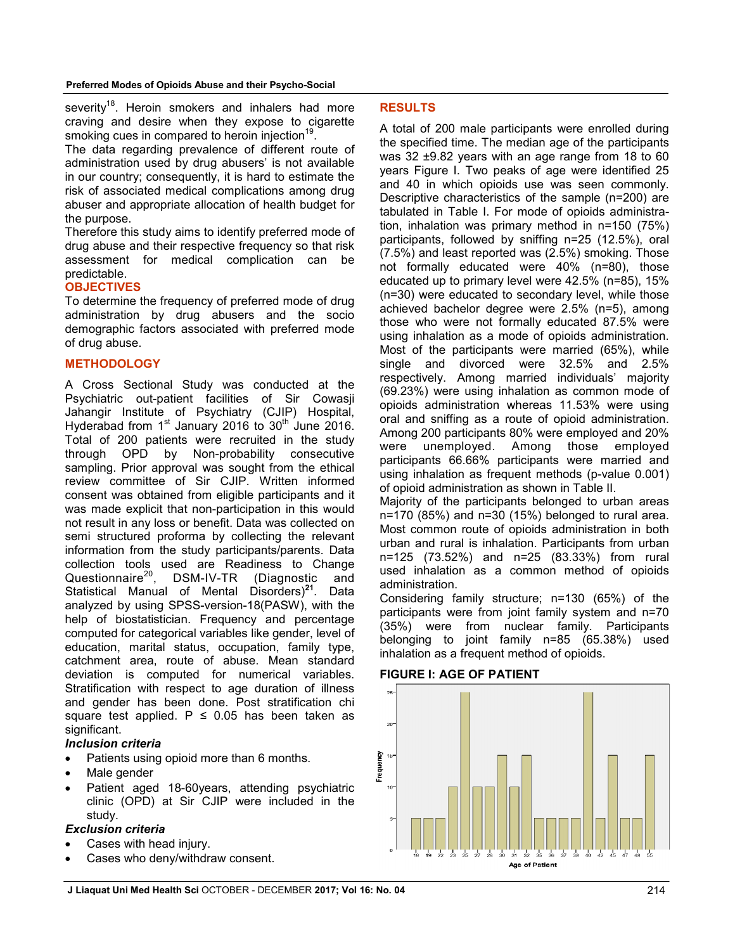severity<sup>18</sup>. Heroin smokers and inhalers had more craving and desire when they expose to cigarette smoking cues in compared to heroin injection<sup>19</sup>.

The data regarding prevalence of different route of administration used by drug abusers' is not available in our country; consequently, it is hard to estimate the risk of associated medical complications among drug abuser and appropriate allocation of health budget for the purpose.

Therefore this study aims to identify preferred mode of drug abuse and their respective frequency so that risk assessment for medical complication can be predictable.

## **OBJECTIVES**

To determine the frequency of preferred mode of drug administration by drug abusers and the socio demographic factors associated with preferred mode of drug abuse.

# **METHODOLOGY**

A Cross Sectional Study was conducted at the Psychiatric out-patient facilities of Sir Cowasji Jahangir Institute of Psychiatry (CJIP) Hospital, Hyderabad from  $1<sup>st</sup>$  January 2016 to  $30<sup>th</sup>$  June 2016. Total of 200 patients were recruited in the study through OPD by Non-probability consecutive sampling. Prior approval was sought from the ethical review committee of Sir CJIP. Written informed consent was obtained from eligible participants and it was made explicit that non-participation in this would not result in any loss or benefit. Data was collected on semi structured proforma by collecting the relevant information from the study participants/parents. Data collection tools used are Readiness to Change Questionnaire<sup>20</sup>, DSM-IV-TR (Diagnostic and Statistical Manual of Mental Disorders)**<sup>21</sup>**. Data analyzed by using SPSS-version-18(PASW), with the help of biostatistician. Frequency and percentage computed for categorical variables like gender, level of education, marital status, occupation, family type, catchment area, route of abuse. Mean standard deviation is computed for numerical variables. Stratification with respect to age duration of illness and gender has been done. Post stratification chi square test applied.  $P \le 0.05$  has been taken as significant.

# *Inclusion criteria*

- Patients using opioid more than 6 months.
- Male gender
- Patient aged 18-60years, attending psychiatric clinic (OPD) at Sir CJIP were included in the study.

## *Exclusion criteria*

- Cases with head injury.
- Cases who deny/withdraw consent.

## **RESULTS**

A total of 200 male participants were enrolled during the specified time. The median age of the participants was 32 ±9.82 years with an age range from 18 to 60 years Figure I. Two peaks of age were identified 25 and 40 in which opioids use was seen commonly. Descriptive characteristics of the sample (n=200) are tabulated in Table I. For mode of opioids administration, inhalation was primary method in n=150 (75%) participants, followed by sniffing n=25 (12.5%), oral (7.5%) and least reported was (2.5%) smoking. Those not formally educated were 40% (n=80), those educated up to primary level were 42.5% (n=85), 15% (n=30) were educated to secondary level, while those achieved bachelor degree were 2.5% (n=5), among those who were not formally educated 87.5% were using inhalation as a mode of opioids administration. Most of the participants were married (65%), while single and divorced were 32.5% and 2.5% respectively. Among married individuals' majority (69.23%) were using inhalation as common mode of opioids administration whereas 11.53% were using oral and sniffing as a route of opioid administration. Among 200 participants 80% were employed and 20% were unemployed. Among those employed participants 66.66% participants were married and using inhalation as frequent methods (p-value 0.001) of opioid administration as shown in Table II.

Majority of the participants belonged to urban areas n=170 (85%) and n=30 (15%) belonged to rural area. Most common route of opioids administration in both urban and rural is inhalation. Participants from urban n=125 (73.52%) and n=25 (83.33%) from rural used inhalation as a common method of opioids administration.

Considering family structure; n=130 (65%) of the participants were from joint family system and n=70 (35%) were from nuclear family. Participants belonging to joint family n=85 (65.38%) used inhalation as a frequent method of opioids.

## **FIGURE I: AGE OF PATIENT**

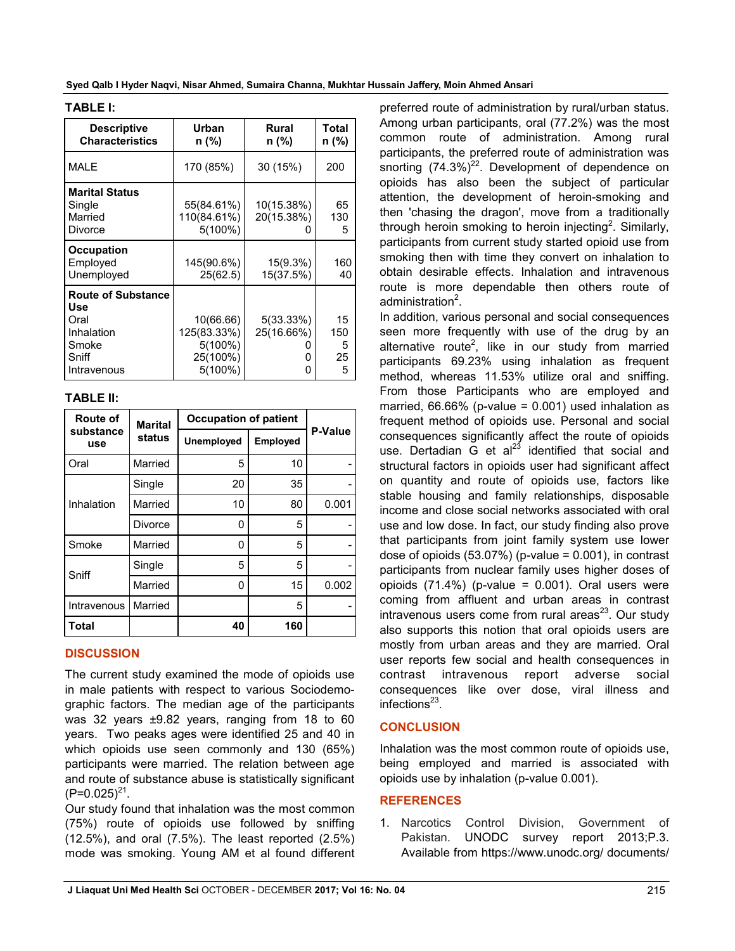**Syed Qalb I Hyder Naqvi, Nisar Ahmed, Sumaira Channa, Mukhtar Hussain Jaffery, Moin Ahmed Ansari**

| <b>Descriptive</b><br><b>Characteristics</b>                                            | Urban<br>n (%)                                                | Rural<br>n (%)                  | Total<br>n (%)            |
|-----------------------------------------------------------------------------------------|---------------------------------------------------------------|---------------------------------|---------------------------|
| <b>MALE</b>                                                                             | 170 (85%)                                                     | 30 (15%)                        | 200                       |
| <b>Marital Status</b><br>Single<br>Married<br>Divorce                                   | 55(84.61%)<br>110(84.61%)<br>$5(100\%)$                       | 10(15.38%)<br>20(15.38%)        | 65<br>130<br>5            |
| <b>Occupation</b><br>Employed<br>Unemployed                                             | 145(90.6%)<br>25(62.5)                                        | 15(9.3%)<br>15(37.5%)           | 160<br>40                 |
| <b>Route of Substance</b><br>Use<br>Oral<br>Inhalation<br>Smoke<br>Sniff<br>Intravenous | 10(66.66)<br>125(83.33%)<br>5(100%)<br>25(100%)<br>$5(100\%)$ | $5(33.33\%)$<br>25(16.66%)<br>O | 15<br>150<br>5<br>25<br>5 |

#### **TABLE I:**

# **TABLE II:**

| Route of<br>substance<br>use | <b>Marital</b><br>status | <b>Occupation of patient</b> |          |         |
|------------------------------|--------------------------|------------------------------|----------|---------|
|                              |                          | Unemployed                   | Employed | P-Value |
| Oral                         | Married                  | 5                            | 10       |         |
| Inhalation                   | Single                   | 20                           | 35       |         |
|                              | Married                  | 10                           | 80       | 0.001   |
|                              | <b>Divorce</b>           | ŋ                            | 5        |         |
| Smoke                        | Married                  | 0                            | 5        |         |
| Sniff                        | Single                   | 5                            | 5        |         |
|                              | Married                  | ŋ                            | 15       | 0.002   |
| Intravenous                  | Married                  |                              | 5        |         |
| Total                        |                          | 40                           | 160      |         |

# **DISCUSSION**

The current study examined the mode of opioids use in male patients with respect to various Sociodemographic factors. The median age of the participants was 32 years ±9.82 years, ranging from 18 to 60 years. Two peaks ages were identified 25 and 40 in which opioids use seen commonly and 130 (65%) participants were married. The relation between age and route of substance abuse is statistically significant  $(P=0.025)^{21}$ .

Our study found that inhalation was the most common (75%) route of opioids use followed by sniffing  $(12.5\%)$ , and oral  $(7.5\%)$ . The least reported  $(2.5\%)$ mode was smoking. Young AM et al found different

preferred route of administration by rural/urban status. Among urban participants, oral (77.2%) was the most common route of administration. Among rural participants, the preferred route of administration was snorting  $(74.3\%)^{22}$ . Development of dependence on opioids has also been the subject of particular attention, the development of heroin-smoking and then 'chasing the dragon', move from a traditionally through heroin smoking to heroin injecting<sup>2</sup>. Similarly, participants from current study started opioid use from smoking then with time they convert on inhalation to obtain desirable effects. Inhalation and intravenous route is more dependable then others route of administration<sup>2</sup>.

In addition, various personal and social consequences seen more frequently with use of the drug by an alternative route<sup>2</sup>, like in our study from married participants 69.23% using inhalation as frequent method, whereas 11.53% utilize oral and sniffing. From those Participants who are employed and married,  $66.66\%$  (p-value = 0.001) used inhalation as frequent method of opioids use. Personal and social consequences significantly affect the route of opioids use. Dertadian  $\mathbf{\ddot{G}}$  et al<sup>23</sup> identified that social and structural factors in opioids user had significant affect on quantity and route of opioids use, factors like stable housing and family relationships, disposable income and close social networks associated with oral use and low dose. In fact, our study finding also prove that participants from joint family system use lower dose of opioids  $(53.07%)$  (p-value = 0.001), in contrast participants from nuclear family uses higher doses of opioids  $(71.4\%)$  (p-value = 0.001). Oral users were coming from affluent and urban areas in contrast  $intravenous users come from rural areas<sup>23</sup>. Our study$ also supports this notion that oral opioids users are mostly from urban areas and they are married. Oral user reports few social and health consequences in contrast intravenous report adverse social consequences like over dose, viral illness and infections $^{23}$ .

# **CONCLUSION**

Inhalation was the most common route of opioids use, being employed and married is associated with opioids use by inhalation (p-value 0.001).

# **REFERENCES**

1. Narcotics Control Division, Government of Pakistan. UNODC survey report 2013;P.3. Available from https://www.unodc.org/ documents/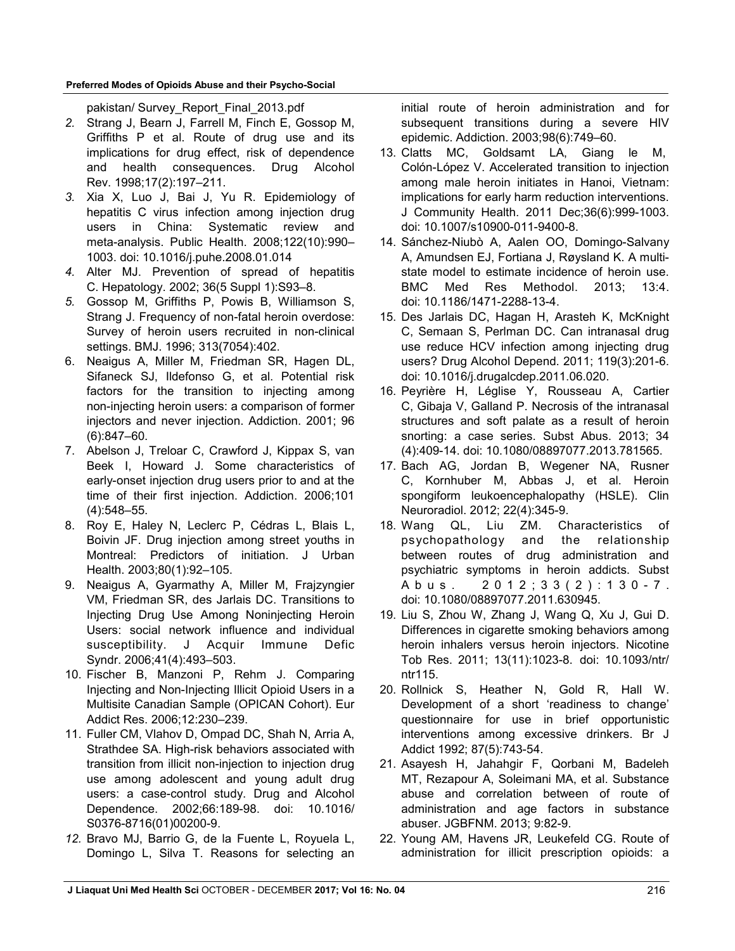## **Preferred Modes of Opioids Abuse and their Psycho-Social**

pakistan/ Survey\_Report\_Final\_2013.pdf

- *2.* Strang J, Bearn J, Farrell M, Finch E, Gossop M, Griffiths P et al. Route of drug use and its implications for drug effect, risk of dependence and health consequences. Drug Alcohol Rev. 1998;17(2):197–211.
- *3.* Xia X, Luo J, Bai J, Yu R. Epidemiology of hepatitis C virus infection among injection drug users in China: Systematic review and meta-analysis. Public Health. 2008;122(10):990– 1003. doi: 10.1016/j.puhe.2008.01.014
- *4.* Alter MJ. Prevention of spread of hepatitis C. Hepatology. 2002; 36(5 Suppl 1):S93–8.
- *5.* Gossop M, Griffiths P, Powis B, Williamson S, Strang J. Frequency of non-fatal heroin overdose: Survey of heroin users recruited in non-clinical settings. BMJ. 1996; 313(7054):402.
- 6. Neaigus A, Miller M, Friedman SR, Hagen DL, Sifaneck SJ, Ildefonso G, et al. Potential risk factors for the transition to injecting among non-injecting heroin users: a comparison of former injectors and never injection. Addiction. 2001; 96 (6):847–60.
- 7. Abelson J, Treloar C, Crawford J, Kippax S, van Beek I, Howard J. Some characteristics of early-onset injection drug users prior to and at the time of their first injection. Addiction. 2006;101 (4):548–55.
- 8. Roy E, Haley N, Leclerc P, Cédras L, Blais L, Boivin JF. Drug injection among street youths in Montreal: Predictors of initiation. J Urban Health. 2003;80(1):92–105.
- 9. Neaigus A, Gyarmathy A, Miller M, Frajzyngier VM, Friedman SR, des Jarlais DC. Transitions to Injecting Drug Use Among Noninjecting Heroin Users: social network influence and individual susceptibility. J Acquir Immune Defic Syndr. 2006;41(4):493–503.
- 10. Fischer B, Manzoni P, Rehm J. Comparing Injecting and Non-Injecting Illicit Opioid Users in a Multisite Canadian Sample (OPICAN Cohort). Eur Addict Res. 2006;12:230–239.
- 11. Fuller CM, Vlahov D, Ompad DC, Shah N, Arria A, Strathdee SA. High-risk behaviors associated with transition from illicit non-injection to injection drug use among adolescent and young adult drug users: a case-control study. Drug and Alcohol Dependence. 2002;66:189-98. doi: 10.1016/ S0376-8716(01)00200-9.
- *12.* Bravo MJ, Barrio G, de la Fuente L, Royuela L, Domingo L, Silva T. Reasons for selecting an

initial route of heroin administration and for subsequent transitions during a severe HIV epidemic. Addiction. 2003;98(6):749–60.

- 13. Clatts MC, Goldsamt LA, Giang le M, Colón-López V. Accelerated transition to injection among male heroin initiates in Hanoi, Vietnam: implications for early harm reduction interventions. J Community Health. 2011 Dec;36(6):999-1003. doi: 10.1007/s10900-011-9400-8.
- 14. Sánchez-Niubò A, Aalen OO, Domingo-Salvany A, Amundsen EJ, Fortiana J, Røysland K. A multistate model to estimate incidence of heroin use. BMC Med Res Methodol. 2013; 13:4. doi: 10.1186/1471-2288-13-4.
- 15. Des Jarlais DC, Hagan H, Arasteh K, McKnight C, Semaan S, Perlman DC. Can intranasal drug use reduce HCV infection among injecting drug users? Drug Alcohol Depend. 2011; 119(3):201-6. doi: 10.1016/j.drugalcdep.2011.06.020.
- 16. Peyrière H, Léglise Y, Rousseau A, Cartier C, Gibaja V, Galland P. Necrosis of the intranasal structures and soft palate as a result of heroin snorting: a case series. Subst Abus. 2013; 34 (4):409-14. doi: 10.1080/08897077.2013.781565.
- 17. Bach AG, Jordan B, Wegener NA, Rusner C, Kornhuber M, Abbas J, et al. Heroin spongiform leukoencephalopathy (HSLE). Clin Neuroradiol. 2012; 22(4):345-9.
- 18. Wang QL, Liu ZM. Characteristics of psychopathology and the relationship between routes of drug administration and psychiatric symptoms in heroin addicts. Subst A b u s . 2 0 1 2 ; 3 3 ( 2 ) : 1 3 0 - 7 . doi: 10.1080/08897077.2011.630945.
- 19. Liu S, Zhou W, Zhang J, Wang Q, Xu J, Gui D. Differences in cigarette smoking behaviors among heroin inhalers versus heroin injectors. Nicotine Tob Res. 2011; 13(11):1023-8. doi: 10.1093/ntr/ ntr115.
- 20. Rollnick S, Heather N, Gold R, Hall W. Development of a short 'readiness to change' questionnaire for use in brief opportunistic interventions among excessive drinkers. Br J Addict 1992; 87(5):743-54.
- 21. Asayesh H, Jahahgir F, Qorbani M, Badeleh MT, Rezapour A, Soleimani MA, et al. Substance abuse and correlation between of route of administration and age factors in substance abuser. JGBFNM. 2013; 9:82-9.
- 22. Young AM, Havens JR, Leukefeld CG. Route of administration for illicit prescription opioids: a